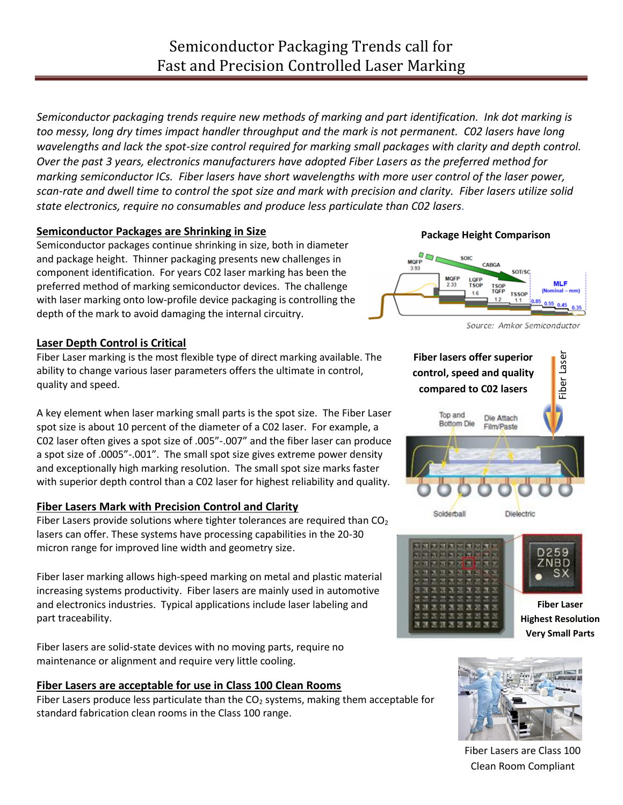*Semiconductor packaging trends require new methods of marking and part identification. Ink dot marking is too messy, long dry times impact handler throughput and the mark is not permanent. C02 lasers have long*  wavelengths and lack the spot-size control required for marking small packages with clarity and depth control. *Over the past 3 years, electronics manufacturers have adopted Fiber Lasers as the preferred method for marking semiconductor ICs. Fiber lasers have short wavelengths with more user control of the laser power, scan-rate and dwell time to control the spot size and mark with precision and clarity. Fiber lasers utilize solid state electronics, require no consumables and produce less particulate than C02 lasers.*

# **Semiconductor Packages are Shrinking in Size**

Semiconductor packages continue shrinking in size, both in diameter and package height. Thinner packaging presents new challenges in component identification. For years C02 laser marking has been the preferred method of marking semiconductor devices. The challenge with laser marking onto low-profile device packaging is controlling the depth of the mark to avoid damaging the internal circuitry.

# **Laser Depth Control is Critical**

Fiber Laser marking is the most flexible type of direct marking available. The ability to change various laser parameters offers the ultimate in control, quality and speed.

A key element when laser marking small parts is the spot size. The Fiber Laser spot size is about 10 percent of the diameter of a C02 laser. For example, a C02 laser often gives a spot size of .005"-.007" and the fiber laser can produce a spot size of .0005"-.001". The small spot size gives extreme power density and exceptionally high marking resolution. The small spot size marks faster with superior depth control than a C02 laser for highest reliability and quality.

# **Fiber Lasers Mark with Precision Control and Clarity**

Fiber Lasers provide solutions where tighter tolerances are required than  $CO<sub>2</sub>$ lasers can offer. These systems have processing capabilities in the 20-30 micron range for improved line width and geometry size.

Fiber laser marking allows high-speed marking on metal and plastic material increasing systems productivity. Fiber lasers are mainly used in automotive and electronics industries. Typical applications include laser labeling and part traceability.

Fiber lasers are solid-state devices with no moving parts, require no maintenance or alignment and require very little cooling.

# **Fiber Lasers are acceptable for use in Class 100 Clean Rooms**

Fiber Lasers produce less particulate than the  $CO<sub>2</sub>$  systems, making them acceptable for standard fabrication clean rooms in the Class 100 range.

### **Package Height Comparison**



Source: Amkor Semiconductor







Fiber Lasers are Class 100 Clean Room Compliant